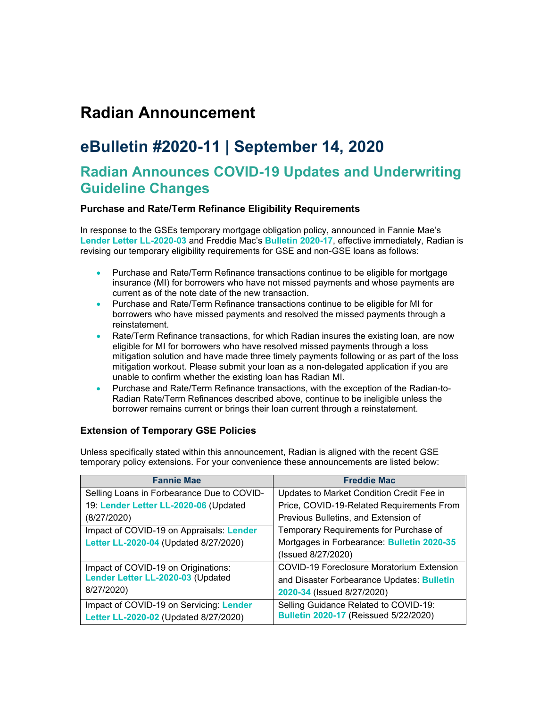## **Radian Announcement**

## **eBulletin #2020-11 | September 14, 2020**

### **Radian Announces COVID-19 Updates and Underwriting Guideline Changes**

#### **Purchase and Rate/Term Refinance Eligibility Requirements**

In response to the GSEs temporary mortgage obligation policy, announced in Fannie Mae's **[Lender Letter LL-2020-03](https://singlefamily.fanniemae.com/media/22316/display?_ga=2.43756131.718119102.1591042086-1309927260.1580139265)** and Freddie Mac's **[Bulletin 2020-17](https://guide.freddiemac.com/app/guide/bulletin/2020-17)**, effective immediately, Radian is revising our temporary eligibility requirements for GSE and non-GSE loans as follows:

- Purchase and Rate/Term Refinance transactions continue to be eligible for mortgage insurance (MI) for borrowers who have not missed payments and whose payments are current as of the note date of the new transaction.
- Purchase and Rate/Term Refinance transactions continue to be eligible for MI for borrowers who have missed payments and resolved the missed payments through a reinstatement.
- Rate/Term Refinance transactions, for which Radian insures the existing loan, are now eligible for MI for borrowers who have resolved missed payments through a loss mitigation solution and have made three timely payments following or as part of the loss mitigation workout. Please submit your loan as a non-delegated application if you are unable to confirm whether the existing loan has Radian MI.
- Purchase and Rate/Term Refinance transactions, with the exception of the Radian-to-Radian Rate/Term Refinances described above, continue to be ineligible unless the borrower remains current or brings their loan current through a reinstatement.

#### **Extension of Temporary GSE Policies**

Unless specifically stated within this announcement, Radian is aligned with the recent GSE temporary policy extensions. For your convenience these announcements are listed below:

| <b>Fannie Mae</b>                          | <b>Freddie Mac</b>                               |
|--------------------------------------------|--------------------------------------------------|
| Selling Loans in Forbearance Due to COVID- | Updates to Market Condition Credit Fee in        |
| 19: Lender Letter LL-2020-06 (Updated      | Price, COVID-19-Related Requirements From        |
| (8/27/2020)                                | Previous Bulletins, and Extension of             |
| Impact of COVID-19 on Appraisals: Lender   | Temporary Requirements for Purchase of           |
| Letter LL-2020-04 (Updated 8/27/2020)      | Mortgages in Forbearance: Bulletin 2020-35       |
|                                            | (Issued 8/27/2020)                               |
| Impact of COVID-19 on Originations:        | <b>COVID-19 Foreclosure Moratorium Extension</b> |
| Lender Letter LL-2020-03 (Updated          | and Disaster Forbearance Updates: Bulletin       |
| 8/27/2020)                                 | 2020-34 (Issued 8/27/2020)                       |
| Impact of COVID-19 on Servicing: Lender    | Selling Guidance Related to COVID-19:            |
| Letter LL-2020-02 (Updated 8/27/2020)      | <b>Bulletin 2020-17 (Reissued 5/22/2020)</b>     |